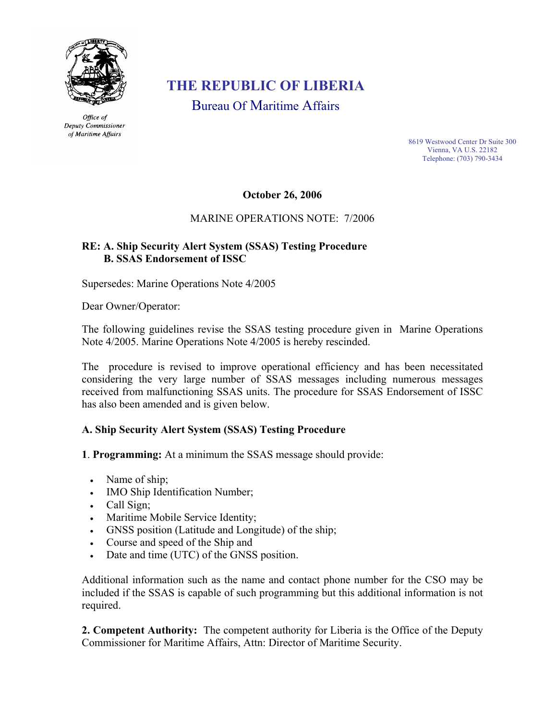

Office of Deputy Commissioner of Maritime Affairs

# **THE REPUBLIC OF LIBERIA**

Bureau Of Maritime Affairs

8619 Westwood Center Dr Suite 300 Vienna, VA U.S. 22182 Telephone: (703) 790-3434

### **October 26, 2006**

## MARINE OPERATIONS NOTE: 7/2006

## **RE: A. Ship Security Alert System (SSAS) Testing Procedure B. SSAS Endorsement of ISSC**

Supersedes: Marine Operations Note 4/2005

Dear Owner/Operator:

The following guidelines revise the SSAS testing procedure given in Marine Operations Note 4/2005. Marine Operations Note 4/2005 is hereby rescinded.

The procedure is revised to improve operational efficiency and has been necessitated considering the very large number of SSAS messages including numerous messages received from malfunctioning SSAS units. The procedure for SSAS Endorsement of ISSC has also been amended and is given below.

### **A. Ship Security Alert System (SSAS) Testing Procedure**

**1**. **Programming:** At a minimum the SSAS message should provide:

- Name of ship;
- IMO Ship Identification Number;
- Call Sign;
- Maritime Mobile Service Identity;
- GNSS position (Latitude and Longitude) of the ship;
- Course and speed of the Ship and
- Date and time (UTC) of the GNSS position.

Additional information such as the name and contact phone number for the CSO may be included if the SSAS is capable of such programming but this additional information is not required.

**2. Competent Authority:** The competent authority for Liberia is the Office of the Deputy Commissioner for Maritime Affairs, Attn: Director of Maritime Security.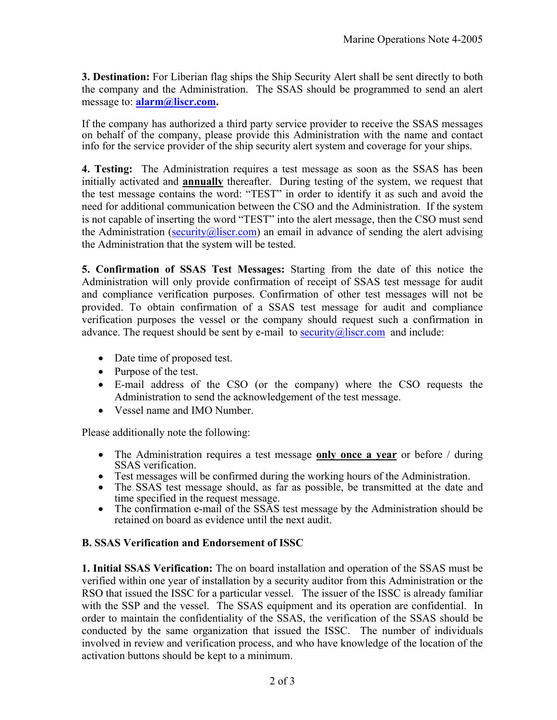**3. Destination:** For Liberian flag ships the Ship Security Alert shall be sent directly to both the company and the Administration. The SSAS should be programmed to send an alert message to: **alarm@liscr.com.**

If the company has authorized a third party service provider to receive the SSAS messages on behalf of the company, please provide this Administration with the name and contact info for the service provider of the ship security alert system and coverage for your ships.

**4. Testing:** The Administration requires a test message as soon as the SSAS has been initially activated and **annually** thereafter. During testing of the system, we request that the test message contains the word: "TEST" in order to identify it as such and avoid the need for additional communication between the CSO and the Administration. If the system is not capable of inserting the word "TEST" into the alert message, then the CSO must send the Administration (security@liscr.com) an email in advance of sending the alert advising the Administration that the system will be tested.

**5. Confirmation of SSAS Test Messages:** Starting from the date of this notice the Administration will only provide confirmation of receipt of SSAS test message for audit and compliance verification purposes. Confirmation of other test messages will not be provided. To obtain confirmation of a SSAS test message for audit and compliance verification purposes the vessel or the company should request such a confirmation in advance. The request should be sent by e-mail to security@liscr.com and include:

- Date time of proposed test.
- Purpose of the test.
- E-mail address of the CSO (or the company) where the CSO requests the Administration to send the acknowledgement of the test message.
- Vessel name and IMO Number.

Please additionally note the following:

- The Administration requires a test message **only once a year** or before / during SSAS verification.<br>• Test messages will be confirmed during the working hours of the Administration.
- 
- The SSAS test message should, as far as possible, be transmitted at the date and time specified in the request message.<br>• The confirmation e-mail of the SSAS test message by the Administration should be
- retained on board as evidence until the next audit.

### **B. SSAS Verification and Endorsement of ISSC**

**1. Initial SSAS Verification:** The on board installation and operation of the SSAS must be verified within one year of installation by a security auditor from this Administration or the RSO that issued the ISSC for a particular vessel. The issuer of the ISSC is already familiar with the SSP and the vessel. The SSAS equipment and its operation are confidential. In order to maintain the confidentiality of the SSAS, the verification of the SSAS should be conducted by the same organization that issued the ISSC. The number of individuals involved in review and verification process, and who have knowledge of the location of the activation buttons should be kept to a minimum.